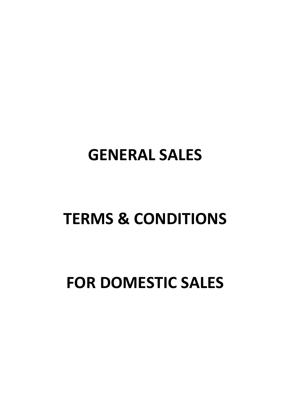### **GENERAL SALES**

## **TERMS & CONDITIONS**

# **FOR DOMESTIC SALES**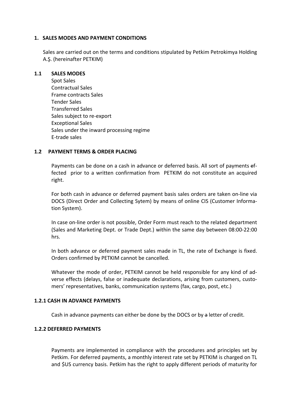#### **1. SALES MODES AND PAYMENT CONDITIONS**

Sales are carried out on the terms and conditions stipulated by Petkim Petrokimya Holding A.Ş. (hereinafter PETKIM)

#### **1.1 SALES MODES**

Spot Sales Contractual Sales Frame contracts Sales Tender Sales Transferred Sales Sales subject to re‐export Exceptional Sales Sales under the inward processing regime E‐trade sales

#### **1.2 PAYMENT TERMS & ORDER PLACING**

Payments can be done on a cash in advance or deferred basis. All sort of payments ef‐ fected prior to a written confirmation from PETKIM do not constitute an acquired right.

For both cash in advance or deferred payment basis sales orders are taken on‐line via DOCS (Direct Order and Collecting Sytem) by means of online CIS (Customer Informa‐ tion System).

In case on‐line order is not possible, Order Form must reach to the related department (Sales and Marketing Dept. or Trade Dept.) within the same day between 08:00‐22:00 hrs.

In both advance or deferred payment sales made in TL, the rate of Exchange is fixed. Orders confirmed by PETKIM cannot be cancelled.

Whatever the mode of order, PETKIM cannot be held responsible for any kind of ad‐ verse effects (delays, false or inadequate declarations, arising from customers, customers' representatives, banks, communication systems (fax, cargo, post, etc.)

#### **1.2.1 CASH IN ADVANCE PAYMENTS**

Cash in advance payments can either be done by the DOCS or by a letter of credit.

#### **1.2.2 DEFERRED PAYMENTS**

Payments are implemented in compliance with the procedures and principles set by Petkim. For deferred payments, a monthly interest rate set by PETKIM is charged on TL and \$US currency basis. Petkim has the right to apply different periods of maturity for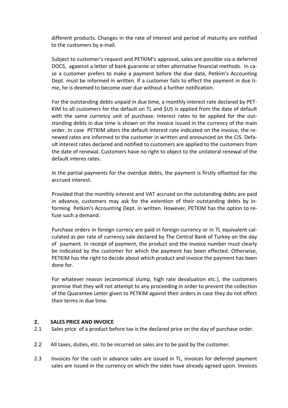different products. Changes in the rate of interest and period of maturity are notified to the customers by e‐mail.

Subject to customer's request and PETKIM's approval, sales are possible via a deferred DOCS, aganinst a letter of bank guarante or other alternative financial methods. In case a customer prefers to make a payment before the due date, Petkim's Accounting Dept. must be informed in written. If a customer fails to effect the payment in due ti‐ me, he is deemed to become over due without a further notification.

For the outstanding debts unpaid in due time, a monthly interest rate declared by PET‐ KIM to all customers for the default on TL and \$US is applied from the date of default with the same currency unit of purchase. Interest rates to be applied for the outstanding debts in due time is shown on the invoice issued in the currency of the main order. In case PETKIM alters the default interest rate indicated on the invoice, the re‐ newed rates are informed to the customer in written and announced on the CIS. Defa‐ ult interest rates declared and notified to customers are applied to the customers from the date of renewal. Customers have no right to object to the unilateral renewal of the default interes rates.

In the partial payments for the overdue debts, the payment is firstly offsetted for the accrued interest.

Provided that the monthly interest and VAT accrued on the outstanding debts are paid in advance, customers may ask for the extention of their outstanding debts by in‐ forming Petkim's Accounting Dept. in written. However, PETKIM has the option to re‐ fuse such a demand.

Purchase orders in foreign currecy are paid in foreign currency or in TL equivalent cal‐ culated as per rate of currency sale declared by The Central Bank of Turkey on the day of payment. In receipt of payment, the product and the invoice number must clearly be indicated by the customer for which the payment has been effected. Otherwise, PETKIM has the right to decide about which product and invoice the payment has been done for.

For whatever reason (economical slump, high rate devaluation etc.), the customers promise that they will not attempt to any proceeding in order to prevent the collection of the Quarantee Letter given to PETKIM against their orders in case they do not effect their terms in due time.

#### **2. SALES PRICE AND INVOICE**

- 2.1 Sales price of a product before tax is the declared price on the day of purchase order.
- 2.2 All taxes, duties, etc. to be incurred on sales are to be paid by the customer.
- 2.3 Invoices for the cash in advance sales are issued in TL, invoices for deferred payment sales are issued in the currency on which the sides have already agreed upon. Invoices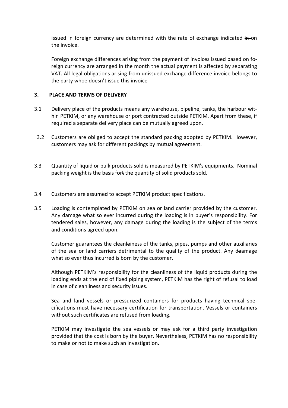issued in foreign currency are determined with the rate of exchange indicated in on the invoice.

Foreign exchange differences arising from the payment of invoices issued based on fo‐ reign currency are arranged in the month the actual payment is affected by separating VAT. All legal obligations arising from unissued exchange difference invoice belongs to the party whoe doesn't issue this invoice

#### **3. PLACE AND TERMS OF DELIVERY**

- 3.1 Delivery place of the products means any warehouse, pipeline, tanks, the harbour within PETKIM, or any warehouse or port contracted outside PETKIM. Apart from these, if required a separate delivery place can be mutually agreed upon.
- 3.2 Customers are obliged to accept the standard packing adopted by PETKIM. However, customers may ask for different packings by mutual agreement.
- 3.3 Quantity of liquid or bulk products sold is measured by PETKIM's equipments. Nominal packing weight is the basis fort the quantity of solid products sold.
- 3.4 Customers are assumed to accept PETKIM product specifications.
- 3.5 Loading is contemplated by PETKIM on sea or land carrier provided by the customer. Any damage what so ever incurred during the loading is in buyer's responsibility. For tendered sales, however, any damage during the loading is the subject of the terms and conditions agreed upon.

Customer guarantees the cleanleiness of the tanks, pipes, pumps and other auxiliaries of the sea or land carriers detrimental to the quality of the product. Any deamage what so ever thus incurred is born by the customer.

Although PETKIM's responsibility for the cleanliness of the liquid products during the loading ends at the end of fixed piping system, PETKIM has the right of refusal to load in case of cleanliness and security issues.

Sea and land vessels or pressurized containers for products having technical spe‐ cifications must have necessary certification for transportation. Vessels or containers without such certificates are refused from loading.

PETKIM may investigate the sea vessels or may ask for a third party investigation provided that the cost is born by the buyer. Nevertheless, PETKIM has no responsibility to make or not to make such an investigation.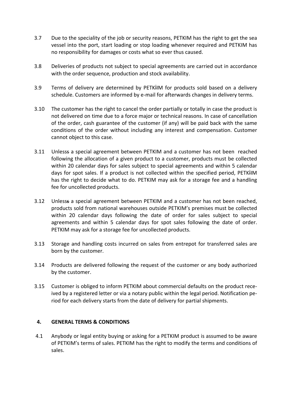- 3.7 Due to the speciality of the job or security reasons, PETKIM has the right to get the sea vessel into the port, start loading or stop loading whenever required and PETKIM has no responsibility for damages or costs what so ever thus caused.
- 3.8 Deliveries of products not subject to special agreements are carried out in accordance with the order sequence, production and stock availability.
- 3.9 Terms of delivery are determined by PETKİIM for products sold based on a delivery schedule. Customers are informed by e-mail for afterwards changes in delivery terms.
- 3.10 The customer has the right to cancel the order partially or totally in case the product is not delivered on time due to a force major or technical reasons. In case of cancellation of the order, cash guarantee of the customer (if any) will be paid back with the same conditions of the order without including any interest and compensation. Customer cannot object to this case.
- 3.11 Unlesss a special agreement between PETKIM and a customer has not been reached following the allocation of a given product to a customer, products must be collected within 20 calendar days for sales subject to special agreements and within 5 calendar days for spot sales. If a product is not collected within the specified period, PETKİIM has the right to decide what to do. PETKIM may ask for a storage fee and a handling fee for uncollected products.
- 3.12 Unlesss a special agreement between PETKIM and a customer has not been reached, products sold from national warehouses outside PETKIM's premises must be collected within 20 calendar days following the date of order for sales subject to special agreements and within 5 calendar days for spot sales following the date of order. PETKIM may ask for a storage fee for uncollected products.
- 3.13 Storage and handling costs incurred on sales from entrepot for transferred sales are born by the customer.
- 3.14 Products are delivered following the request of the customer or any body authorized by the customer.
- 3.15 Customer is obliged to inform PETKIM about commercial defaults on the product rece‐ ived by a registered letter or via a notary public within the legal period. Notification pe‐ riod for each delivery starts from the date of delivery for partial shipments.

#### **4. GENERAL TERMS & CONDITIONS**

4.1 Anybody or legal entity buying or asking for a PETKIM product is assumed to be aware of PETKIM's terms of sales. PETKIM has the right to modify the terms and conditions of sales.